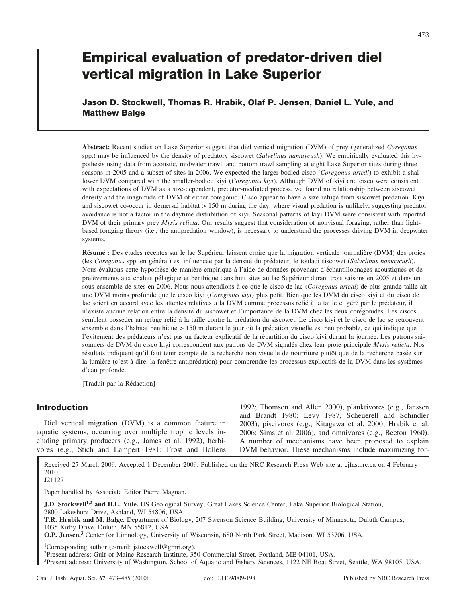# **Empirical evaluation of predator-driven diel vertical migration in Lake Superior**

**Jason D. Stockwell, Thomas R. Hrabik, Olaf P. Jensen, Daniel L. Yule, and Matthew Balge**

**Abstract:** Recent studies on Lake Superior suggest that diel vertical migration (DVM) of prey (generalized *Coregonus* spp.) may be influenced by the density of predatory siscowet (*Salvelinus namaycush*). We empirically evaluated this hypothesis using data from acoustic, midwater trawl, and bottom trawl sampling at eight Lake Superior sites during three seasons in 2005 and a subset of sites in 2006. We expected the larger-bodied cisco (*Coregonus artedi*) to exhibit a shallower DVM compared with the smaller-bodied kiyi (*Coregonus kiyi*). Although DVM of kiyi and cisco were consistent with expectations of DVM as a size-dependent, predator-mediated process, we found no relationship between siscowet density and the magnitude of DVM of either coregonid. Cisco appear to have a size refuge from siscowet predation. Kiyi and siscowet co-occur in demersal habitat  $> 150$  m during the day, where visual predation is unlikely, suggesting predator avoidance is not a factor in the daytime distribution of kiyi. Seasonal patterns of kiyi DVM were consistent with reported DVM of their primary prey *Mysis relicta*. Our results suggest that consideration of nonvisual foraging, rather than lightbased foraging theory (i.e., the antipredation window), is necessary to understand the processes driving DVM in deepwater systems.

**Résumé :** Des études récentes sur le lac Supérieur laissent croire que la migration verticale journalière (DVM) des proies (les Coregonus spp. en général) est influencée par la densité du prédateur, le touladi siscowet (*Salvelinus namaycush*). Nous évaluons cette hypothèse de manière empirique à l'aide de données provenant d'échantillonnages acoustiques et de prélèvements aux chaluts pélagique et benthique dans huit sites au lac Supérieur durant trois saisons en 2005 et dans un sous-ensemble de sites en 2006. Nous nous attendions a` ce que le cisco de lac (*Coregonus artedi*) de plus grande taille ait une DVM moins profonde que le cisco kiyi (*Coregonus kiyi*) plus petit. Bien que les DVM du cisco kiyi et du cisco de lac soient en accord avec les attentes relatives à la DVM comme processus relié à la taille et géré par le prédateur, il n'existe aucune relation entre la densité du siscowet et l'importance de la DVM chez les deux corégonidés. Les ciscos semblent posséder un refuge relié à la taille contre la prédation du siscowet. Le cisco kiyi et le cisco de lac se retrouvent ensemble dans l'habitat benthique > 150 m durant le jour où la prédation visuelle est peu probable, ce qui indique que l'évitement des prédateurs n'est pas un facteur explicatif de la répartition du cisco kiyi durant la journée. Les patrons saisonniers de DVM du cisco kiyi correspondent aux patrons de DVM signalés chez leur proie principale *Mysis relicta*. Nos résultats indiquent qu'il faut tenir compte de la recherche non visuelle de nourriture plutôt que de la recherche basée sur la lumière (c'est-à-dire, la fenêtre antiprédation) pour comprendre les processus explicatifs de la DVM dans les systèmes d'eau profonde.

[Traduit par la Rédaction]

# **Introduction**

Diel vertical migration (DVM) is a common feature in aquatic systems, occurring over multiple trophic levels including primary producers (e.g., James et al. 1992), herbivores (e.g., Stich and Lampert 1981; Frost and Bollens 1992; Thomson and Allen 2000), planktivores (e.g., Janssen and Brandt 1980; Levy 1987, Scheuerell and Schindler 2003), piscivores (e.g., Kitagawa et al. 2000; Hrabik et al. 2006; Sims et al. 2006), and omnivores (e.g., Beeton 1960). A number of mechanisms have been proposed to explain DVM behavior. These mechanisms include maximizing for-

Received 27 March 2009. Accepted 1 December 2009. Published on the NRC Research Press Web site at cjfas.nrc.ca on 4 February 2010.

J21127

Paper handled by Associate Editor Pierre Magnan.

**J.D. Stockwell1,2 and D.L. Yule.** US Geological Survey, Great Lakes Science Center, Lake Superior Biological Station, 2800 Lakeshore Drive, Ashland, WI 54806, USA.

**T.R. Hrabik and M. Balge.** Department of Biology, 207 Swenson Science Building, University of Minnesota, Duluth Campus, 1035 Kirby Drive, Duluth, MN 55812, USA.

**O.P. Jensen.3** Center for Limnology, University of Wisconsin, 680 North Park Street, Madison, WI 53706, USA.

<sup>1</sup>Corresponding author (e-mail: jstockwell@gmri.org).

2Present address: Gulf of Maine Research Institute, 350 Commercial Street, Portland, ME 04101, USA.

3Present address: University of Washington, School of Aquatic and Fishery Sciences, 1122 NE Boat Street, Seattle, WA 98105, USA.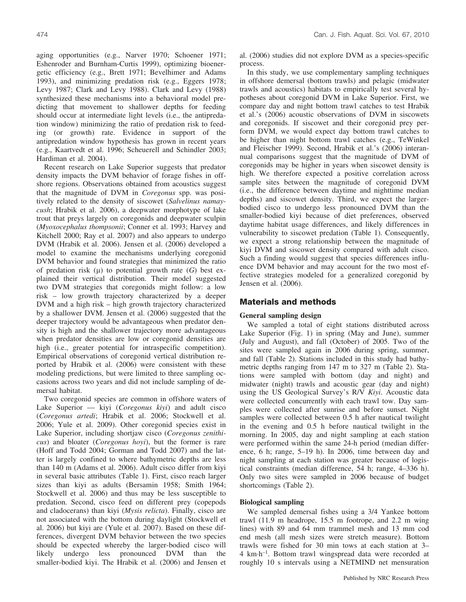aging opportunities (e.g., Narver 1970; Schoener 1971; Eshenroder and Burnham-Curtis 1999), optimizing bioenergetic efficiency (e.g., Brett 1971; Bevelhimer and Adams 1993), and minimizing predation risk (e.g., Eggers 1978; Levy 1987; Clark and Levy 1988). Clark and Levy (1988) synthesized these mechanisms into a behavioral model predicting that movement to shallower depths for feeding should occur at intermediate light levels (i.e., the antipredation window) minimizing the ratio of predation risk to feeding (or growth) rate. Evidence in support of the antipredation window hypothesis has grown in recent years (e.g., Kaartvedt et al. 1996; Scheuerell and Schindler 2003; Hardiman et al. 2004).

Recent research on Lake Superior suggests that predator density impacts the DVM behavior of forage fishes in offshore regions. Observations obtained from acoustics suggest that the magnitude of DVM in *Coregonus* spp. was positively related to the density of siscowet (*Salvelinus namaycush*; Hrabik et al. 2006), a deepwater morphotype of lake trout that preys largely on coregonids and deepwater sculpin (*Myoxocephalus thompsonii*; Conner et al. 1993; Harvey and Kitchell 2000; Ray et al. 2007) and also appears to undergo DVM (Hrabik et al. 2006). Jensen et al. (2006) developed a model to examine the mechanisms underlying coregonid DVM behavior and found strategies that minimized the ratio of predation risk  $(\mu)$  to potential growth rate  $(G)$  best explained their vertical distribution. Their model suggested two DVM strategies that coregonids might follow: a low risk – low growth trajectory characterized by a deeper DVM and a high risk – high growth trajectory characterized by a shallower DVM. Jensen et al. (2006) suggested that the deeper trajectory would be advantageous when predator density is high and the shallower trajectory more advantageous when predator densities are low or coregonid densities are high (i.e., greater potential for intraspecific competition). Empirical observations of coregonid vertical distribution reported by Hrabik et al. (2006) were consistent with these modeling predictions, but were limited to three sampling occasions across two years and did not include sampling of demersal habitat.

Two coregonid species are common in offshore waters of Lake Superior — kiyi (*Coregonus kiyi*) and adult cisco (*Coregonus artedi*; Hrabik et al. 2006; Stockwell et al. 2006; Yule et al. 2009). Other coregonid species exist in Lake Superior, including shortjaw cisco (*Coregonus zenithicus*) and bloater (*Coregonus hoyi*), but the former is rare (Hoff and Todd 2004; Gorman and Todd 2007) and the latter is largely confined to where bathymetric depths are less than 140 m (Adams et al. 2006). Adult cisco differ from kiyi in several basic attributes (Table 1). First, cisco reach larger sizes than kiyi as adults (Bersamin 1958; Smith 1964; Stockwell et al. 2006) and thus may be less susceptible to predation. Second, cisco feed on different prey (copepods and cladocerans) than kiyi (*Mysis relicta*). Finally, cisco are not associated with the bottom during daylight (Stockwell et al. 2006) but kiyi are (Yule et al. 2007). Based on these differences, divergent DVM behavior between the two species should be expected whereby the larger-bodied cisco will likely undergo less pronounced DVM than the smaller-bodied kiyi. The Hrabik et al. (2006) and Jensen et al. (2006) studies did not explore DVM as a species-specific process.

In this study, we use complementary sampling techniques in offshore demersal (bottom trawls) and pelagic (midwater trawls and acoustics) habitats to empirically test several hypotheses about coregonid DVM in Lake Superior. First, we compare day and night bottom trawl catches to test Hrabik et al.'s (2006) acoustic observations of DVM in siscowets and coregonids. If siscowet and their coregonid prey perform DVM, we would expect day bottom trawl catches to be higher than night bottom trawl catches (e.g., TeWinkel and Fleischer 1999). Second, Hrabik et al.'s (2006) interannual comparisons suggest that the magnitude of DVM of coregonids may be higher in years when siscowet density is high. We therefore expected a positive correlation across sample sites between the magnitude of coregonid DVM (i.e., the difference between daytime and nighttime median depths) and siscowet density. Third, we expect the largerbodied cisco to undergo less pronounced DVM than the smaller-bodied kiyi because of diet preferences, observed daytime habitat usage differences, and likely differences in vulnerability to siscowet predation (Table 1). Consequently, we expect a strong relationship between the magnitude of kiyi DVM and siscowet density compared with adult cisco. Such a finding would suggest that species differences influence DVM behavior and may account for the two most effective strategies modeled for a generalized coregonid by Jensen et al. (2006).

# **Materials and methods**

# **General sampling design**

We sampled a total of eight stations distributed across Lake Superior (Fig. 1) in spring (May and June), summer (July and August), and fall (October) of 2005. Two of the sites were sampled again in 2006 during spring, summer, and fall (Table 2). Stations included in this study had bathymetric depths ranging from 147 m to 327 m (Table 2). Stations were sampled with bottom (day and night) and midwater (night) trawls and acoustic gear (day and night) using the US Geological Survey's R/V *Kiyi*. Acoustic data were collected concurrently with each trawl tow. Day samples were collected after sunrise and before sunset. Night samples were collected between 0.5 h after nautical twilight in the evening and 0.5 h before nautical twilight in the morning. In 2005, day and night sampling at each station were performed within the same 24-h period (median difference, 6 h; range, 5–19 h). In 2006, time between day and night sampling at each station was greater because of logistical constraints (median difference, 54 h; range, 4–336 h). Only two sites were sampled in 2006 because of budget shortcomings (Table 2).

# **Biological sampling**

We sampled demersal fishes using a 3/4 Yankee bottom trawl (11.9 m headrope, 15.5 m footrope, and 2.2 m wing lines) with 89 and 64 mm trammel mesh and 13 mm cod end mesh (all mesh sizes were stretch measure). Bottom trawls were fished for 30 min tows at each station at 3– 4 km-h–1. Bottom trawl wingspread data were recorded at roughly 10 s intervals using a NETMIND net mensuration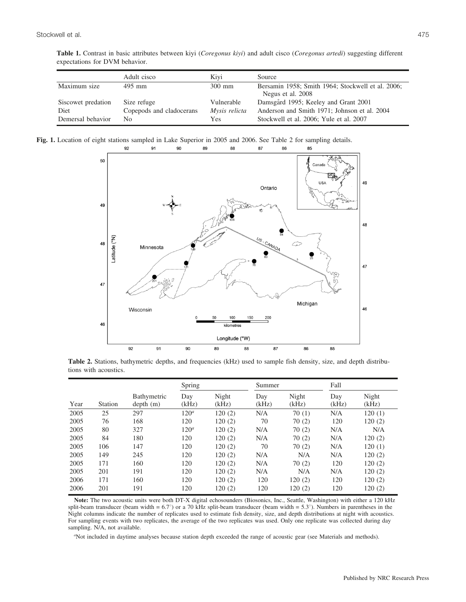| Table 1. Contrast in basic attributes between kiyi (Coregonus kiyi) and adult cisco (Coregonus artedi) suggesting different |  |  |  |
|-----------------------------------------------------------------------------------------------------------------------------|--|--|--|
| expectations for DVM behavior.                                                                                              |  |  |  |

|                    | Adult cisco              | Kivi          | Source                                                                 |
|--------------------|--------------------------|---------------|------------------------------------------------------------------------|
| Maximum size       | 495 mm                   | $300$ mm      | Bersamin 1958; Smith 1964; Stockwell et al. 2006;<br>Negus et al. 2008 |
| Siscowet predation | Size refuge              | Vulnerable    | Damsgård 1995; Keeley and Grant 2001                                   |
| Diet               | Copepods and cladocerans | Mysis relicta | Anderson and Smith 1971; Johnson et al. 2004                           |
| Demersal behavior  | No                       | Yes           | Stockwell et al. 2006; Yule et al. 2007                                |

**Fig. 1.** Location of eight stations sampled in Lake Superior in 2005 and 2006. See Table 2 for sampling details.



Table 2. Stations, bathymetric depths, and frequencies (kHz) used to sample fish density, size, and depth distributions with acoustics.

|      |         |                         | Spring           |                |              | Summer         |              | Fall           |  |
|------|---------|-------------------------|------------------|----------------|--------------|----------------|--------------|----------------|--|
| Year | Station | Bathymetric<br>depth(m) | Day<br>(kHz)     | Night<br>(kHz) | Day<br>(kHz) | Night<br>(kHz) | Day<br>(kHz) | Night<br>(kHz) |  |
| 2005 | 25      | 297                     | 120 <sup>a</sup> | 120(2)         | N/A          | 70(1)          | N/A          | 120(1)         |  |
| 2005 | 76      | 168                     | 120              | 120(2)         | 70           | 70(2)          | 120          | 120(2)         |  |
| 2005 | 80      | 327                     | 120 <sup>a</sup> | 120(2)         | N/A          | 70(2)          | N/A          | N/A            |  |
| 2005 | 84      | 180                     | 120              | 120(2)         | N/A          | 70(2)          | N/A          | 120(2)         |  |
| 2005 | 106     | 147                     | 120              | 120(2)         | 70           | 70(2)          | N/A          | 120(1)         |  |
| 2005 | 149     | 245                     | 120              | 120(2)         | N/A          | N/A            | N/A          | 120(2)         |  |
| 2005 | 171     | 160                     | 120              | 120(2)         | N/A          | 70(2)          | 120          | 120(2)         |  |
| 2005 | 201     | 191                     | 120              | 120(2)         | N/A          | N/A            | N/A          | 120(2)         |  |
| 2006 | 171     | 160                     | 120              | 120(2)         | 120          | 120(2)         | 120          | 120(2)         |  |
| 2006 | 201     | 191                     | 120              | 120(2)         | 120          | 120(2)         | 120          | 120(2)         |  |

**Note:** The two acoustic units were both DT-X digital echosounders (Biosonics, Inc., Seattle, Washington) with either a 120 kHz split-beam transducer (beam width =  $6.7^{\circ}$ ) or a 70 kHz split-beam transducer (beam width =  $5.3^{\circ}$ ). Numbers in parentheses in the Night columns indicate the number of replicates used to estimate fish density, size, and depth distributions at night with acoustics. For sampling events with two replicates, the average of the two replicates was used. Only one replicate was collected during day sampling. N/A, not available.

*a* Not included in daytime analyses because station depth exceeded the range of acoustic gear (see Materials and methods).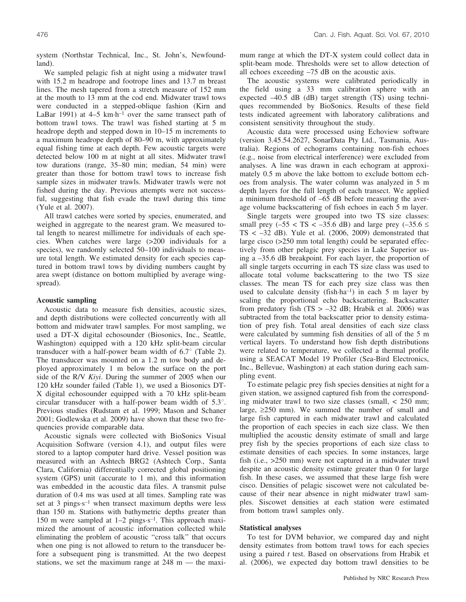system (Northstar Technical, Inc., St. John's, Newfoundland).

We sampled pelagic fish at night using a midwater trawl with 15.2 m headrope and footrope lines and 13.7 m breast lines. The mesh tapered from a stretch measure of 152 mm at the mouth to 13 mm at the cod end. Midwater trawl tows were conducted in a stepped-oblique fashion (Kirn and LaBar 1991) at  $4-5$  km $\cdot$ h<sup>-1</sup> over the same transect path of bottom trawl tows. The trawl was fished starting at 5 m headrope depth and stepped down in 10–15 m increments to a maximum headrope depth of 80–90 m, with approximately equal fishing time at each depth. Few acoustic targets were detected below 100 m at night at all sites. Midwater trawl tow durations (range, 35–80 min; median, 54 min) were greater than those for bottom trawl tows to increase fish sample sizes in midwater trawls. Midwater trawls were not fished during the day. Previous attempts were not successful, suggesting that fish evade the trawl during this time (Yule et al. 2007).

All trawl catches were sorted by species, enumerated, and weighed in aggregate to the nearest gram. We measured total length to nearest millimetre for individuals of each species. When catches were large (>200 individuals for a species), we randomly selected 50–100 individuals to measure total length. We estimated density for each species captured in bottom trawl tows by dividing numbers caught by area swept (distance on bottom multiplied by average wingspread).

#### **Acoustic sampling**

Acoustic data to measure fish densities, acoustic sizes, and depth distributions were collected concurrently with all bottom and midwater trawl samples. For most sampling, we used a DT-X digital echosounder (Biosonics, Inc., Seattle, Washington) equipped with a 120 kHz split-beam circular transducer with a half-power beam width of  $6.7^{\circ}$  (Table 2). The transducer was mounted on a 1.2 m tow body and deployed approximately 1 m below the surface on the port side of the R/V *Kiyi*. During the summer of 2005 when our 120 kHz sounder failed (Table 1), we used a Biosonics DT-X digital echosounder equipped with a 70 kHz split-beam circular transducer with a half-power beam width of  $5.3^{\circ}$ . Previous studies (Rudstam et al. 1999; Mason and Schaner 2001; Godlewska et al. 2009) have shown that these two frequencies provide comparable data.

Acoustic signals were collected with BioSonics Visual Acquisition Software (version 4.1), and output files were stored to a laptop computer hard drive. Vessel position was measured with an Ashtech BRG2 (Ashtech Corp., Santa Clara, California) differentially corrected global positioning system (GPS) unit (accurate to 1 m), and this information was embedded in the acoustic data files. A transmit pulse duration of 0.4 ms was used at all times. Sampling rate was set at 3 pings s<sup>-1</sup> when transect maximum depths were less than 150 m. Stations with bathymetric depths greater than 150 m were sampled at  $1-2$  pings $s^{-1}$ . This approach maximized the amount of acoustic information collected while eliminating the problem of acoustic ''cross talk'' that occurs when one ping is not allowed to return to the transducer before a subsequent ping is transmitted. At the two deepest stations, we set the maximum range at  $248 \text{ m}$  — the maximum range at which the DT-X system could collect data in split-beam mode. Thresholds were set to allow detection of all echoes exceeding –75 dB on the acoustic axis.

The acoustic systems were calibrated periodically in the field using a 33 mm calibration sphere with an expected –40.5 dB (dB) target strength (TS) using techniques recommended by BioSonics. Results of these field tests indicated agreement with laboratory calibrations and consistent sensitivity throughout the study.

Acoustic data were processed using Echoview software (version 3.45.54.2627, SonarData Pty Ltd., Tasmania, Australia). Regions of echograms containing non-fish echoes (e.g., noise from electrical interference) were excluded from analyses. A line was drawn in each echogram at approximately 0.5 m above the lake bottom to exclude bottom echoes from analysis. The water column was analyzed in 5 m depth layers for the full length of each transect. We applied a minimum threshold of –65 dB before measuring the average volume backscattering of fish echoes in each 5 m layer.

Single targets were grouped into two TS size classes: small prey ( $-55 <$  TS  $< -35.6$  dB) and large prey ( $-35.6 \le$ TS  $<-32$  dB). Yule et al. (2006, 2009) demonstrated that large cisco (>250 mm total length) could be separated effectively from other pelagic prey species in Lake Superior using a –35.6 dB breakpoint. For each layer, the proportion of all single targets occurring in each TS size class was used to allocate total volume backscattering to the two TS size classes. The mean TS for each prey size class was then used to calculate density (fish $\cdot$ ha<sup>-1</sup>) in each 5 m layer by scaling the proportional echo backscattering. Backscatter from predatory fish  $(TS > -32$  dB; Hrabik et al. 2006) was subtracted from the total backscatter prior to density estimation of prey fish. Total areal densities of each size class were calculated by summing fish densities of all of the 5 m vertical layers. To understand how fish depth distributions were related to temperature, we collected a thermal profile using a SEACAT Model 19 Profiler (Sea-Bird Electronics, Inc., Bellevue, Washington) at each station during each sampling event.

To estimate pelagic prey fish species densities at night for a given station, we assigned captured fish from the corresponding midwater trawl to two size classes (small, < 250 mm; large,  $\geq$ 250 mm). We summed the number of small and large fish captured in each midwater trawl and calculated the proportion of each species in each size class. We then multiplied the acoustic density estimate of small and large prey fish by the species proportions of each size class to estimate densities of each species. In some instances, large fish (i.e., >250 mm) were not captured in a midwater trawl despite an acoustic density estimate greater than 0 for large fish. In these cases, we assumed that these large fish were cisco. Densities of pelagic siscowet were not calculated because of their near absence in night midwater trawl samples. Siscowet densities at each station were estimated from bottom trawl samples only.

## **Statistical analyses**

To test for DVM behavior, we compared day and night density estimates from bottom trawl tows for each species using a paired *t* test. Based on observations from Hrabik et al. (2006), we expected day bottom trawl densities to be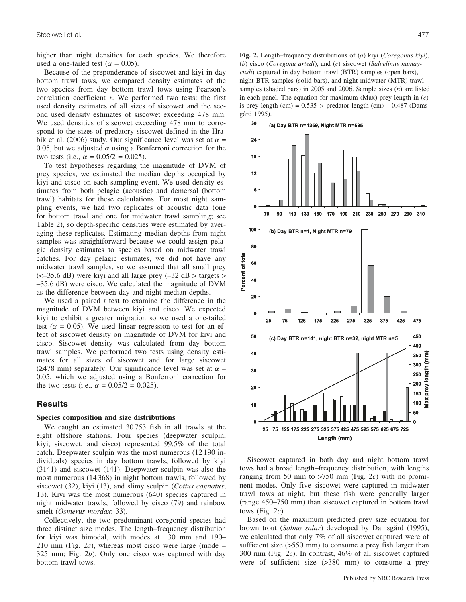higher than night densities for each species. We therefore used a one-tailed test ( $\alpha = 0.05$ ).

Because of the preponderance of siscowet and kiyi in day bottom trawl tows, we compared density estimates of the two species from day bottom trawl tows using Pearson's correlation coefficient *r*. We performed two tests: the first used density estimates of all sizes of siscowet and the second used density estimates of siscowet exceeding 478 mm. We used densities of siscowet exceeding 478 mm to correspond to the sizes of predatory siscowet defined in the Hrabik et al. (2006) study. Our significance level was set at  $\alpha =$ 0.05, but we adjusted  $\alpha$  using a Bonferroni correction for the two tests (i.e.,  $\alpha = 0.05/2 = 0.025$ ).

To test hypotheses regarding the magnitude of DVM of prey species, we estimated the median depths occupied by kiyi and cisco on each sampling event. We used density estimates from both pelagic (acoustic) and demersal (bottom trawl) habitats for these calculations. For most night sampling events, we had two replicates of acoustic data (one for bottom trawl and one for midwater trawl sampling; see Table 2), so depth-specific densities were estimated by averaging these replicates. Estimating median depths from night samples was straightforward because we could assign pelagic density estimates to species based on midwater trawl catches. For day pelagic estimates, we did not have any midwater trawl samples, so we assumed that all small prey  $\approx$  -35.6 dB) were kiyi and all large prey (-32 dB > targets > –35.6 dB) were cisco. We calculated the magnitude of DVM as the difference between day and night median depths.

We used a paired *t* test to examine the difference in the magnitude of DVM between kiyi and cisco. We expected kiyi to exhibit a greater migration so we used a one-tailed test ( $\alpha$  = 0.05). We used linear regression to test for an effect of siscowet density on magnitude of DVM for kiyi and cisco. Siscowet density was calculated from day bottom trawl samples. We performed two tests using density estimates for all sizes of siscowet and for large siscowet ( $\geq$ 478 mm) separately. Our significance level was set at  $\alpha$  = 0.05, which we adjusted using a Bonferroni correction for the two tests (i.e.,  $\alpha = 0.05/2 = 0.025$ ).

# **Results**

# **Species composition and size distributions**

We caught an estimated 30 753 fish in all trawls at the eight offshore stations. Four species (deepwater sculpin, kiyi, siscowet, and cisco) represented 99.5% of the total catch. Deepwater sculpin was the most numerous (12 190 individuals) species in day bottom trawls, followed by kiyi (3141) and siscowet (141). Deepwater sculpin was also the most numerous (14 368) in night bottom trawls, followed by siscowet (32), kiyi (13), and slimy sculpin (*Cottus cognatus*; 13). Kiyi was the most numerous (640) species captured in night midwater trawls, followed by cisco (79) and rainbow smelt (*Osmerus mordax*; 33).

Collectively, the two predominant coregonid species had three distinct size modes. The length–frequency distribution for kiyi was bimodal, with modes at 130 mm and 190– 210 mm (Fig. 2*a*), whereas most cisco were large (mode = 325 mm; Fig. 2*b*). Only one cisco was captured with day bottom trawl tows.

**Fig. 2.** Length–frequency distributions of (*a*) kiyi (*Coregonus kiyi*), (*b*) cisco (*Coregonu artedi*), and (*c*) siscowet (*Salvelinus namaycush*) captured in day bottom trawl (BTR) samples (open bars), night BTR samples (solid bars), and night midwater (MTR) trawl samples (shaded bars) in 2005 and 2006. Sample sizes (*n*) are listed in each panel. The equation for maximum (Max) prey length in (*c*) is prey length (cm) =  $0.535 \times$  predator length (cm) –  $0.487$  (Damsgård 1995).



Siscowet captured in both day and night bottom trawl tows had a broad length–frequency distribution, with lengths ranging from 50 mm to >750 mm (Fig. 2*c*) with no prominent modes. Only five siscowet were captured in midwater trawl tows at night, but these fish were generally larger (range 450–750 mm) than siscowet captured in bottom trawl tows (Fig. 2*c*).

Based on the maximum predicted prey size equation for brown trout (*Salmo salar*) developed by Damsgård (1995), we calculated that only 7% of all siscowet captured were of sufficient size (>550 mm) to consume a prey fish larger than 300 mm (Fig. 2*c*). In contrast, 46% of all siscowet captured were of sufficient size (>380 mm) to consume a prey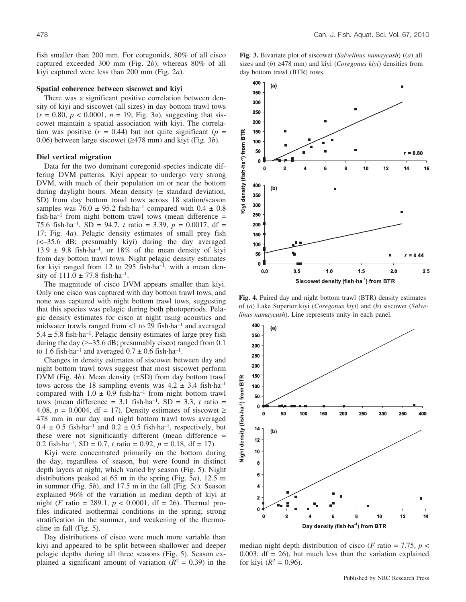fish smaller than 200 mm. For coregonids, 80% of all cisco captured exceeded 300 mm (Fig. 2*b*), whereas 80% of all kiyi captured were less than 200 mm (Fig. 2*a*).

#### **Spatial coherence between siscowet and kiyi**

There was a significant positive correlation between density of kiyi and siscowet (all sizes) in day bottom trawl tows  $(r = 0.80, p < 0.0001, n = 19;$  Fig. 3*a*), suggesting that siscowet maintain a spatial association with kiyi. The correlation was positive  $(r = 0.44)$  but not quite significant  $(p =$ 0.06) between large siscowet  $(\geq 478 \text{ mm})$  and kiyi (Fig. 3*b*).

#### **Diel vertical migration**

Data for the two dominant coregonid species indicate differing DVM patterns. Kiyi appear to undergo very strong DVM, with much of their population on or near the bottom during daylight hours. Mean density  $(\pm$  standard deviation, SD) from day bottom trawl tows across 18 station/season samples was  $76.0 \pm 95.2$  fish $\cdot$ ha<sup>-1</sup> compared with  $0.4 \pm 0.8$  $fish \cdot ha^{-1}$  from night bottom trawl tows (mean difference = 75.6 fish-ha–1, SD = 94.7, *t* ratio = 3.39, *p* = 0.0017, df = 17; Fig. 4*a*). Pelagic density estimates of small prey fish (<–35.6 dB; presumably kiyi) during the day averaged  $13.9 \pm 9.8$  fish $\cdot$ ha<sup>-1</sup>, or  $18\%$  of the mean density of kiyi from day bottom trawl tows. Night pelagic density estimates for kiyi ranged from 12 to 295 fish ha<sup>-1</sup>, with a mean density of  $111.0 \pm 77.8$  fish $\cdot$ ha<sup>-1</sup>.

The magnitude of cisco DVM appears smaller than kiyi. Only one cisco was captured with day bottom trawl tows, and none was captured with night bottom trawl tows, suggesting that this species was pelagic during both photoperiods. Pelagic density estimates for cisco at night using acoustics and midwater trawls ranged from <1 to 29 fish-ha–1 and averaged  $5.4 \pm 5.8$  fish $\cdot$ ha<sup>-1</sup>. Pelagic density estimates of large prey fish during the day  $(\geq -35.6$  dB; presumably cisco) ranged from 0.1 to 1.6 fish $\cdot$ ha<sup>-1</sup> and averaged  $0.7 \pm 0.6$  fish $\cdot$ ha<sup>-1</sup>.

Changes in density estimates of siscowet between day and night bottom trawl tows suggest that most siscowet perform DVM (Fig. 4*b*). Mean density (±SD) from day bottom trawl tows across the 18 sampling events was  $4.2 \pm 3.4$  fish-ha<sup>-1</sup> compared with  $1.0 \pm 0.9$  fish $\cdot$ ha<sup>-1</sup> from night bottom trawl tows (mean difference  $= 3.1$  fish $\cdot$ ha<sup>-1</sup>, SD  $= 3.3$ , *t* ratio  $=$ 4.08,  $p = 0.0004$ , df = 17). Density estimates of siscowet  $\ge$ 478 mm in our day and night bottom trawl tows averaged  $0.4 \pm 0.5$  fish $\cdot$ ha<sup>-1</sup> and  $0.2 \pm 0.5$  fish $\cdot$ ha<sup>-1</sup>, respectively, but these were not significantly different (mean difference = 0.2 fish-ha<sup>-1</sup>, SD = 0.7, *t* ratio = 0.92,  $p = 0.18$ , df = 17).

Kiyi were concentrated primarily on the bottom during the day, regardless of season, but were found in distinct depth layers at night, which varied by season (Fig. 5). Night distributions peaked at 65 m in the spring (Fig. 5*a*), 12.5 m in summer (Fig. 5*b*), and 17.5 m in the fall (Fig. 5*c*). Season explained 96% of the variation in median depth of kiyi at night (*F* ratio = 289.1,  $p < 0.0001$ , df = 26). Thermal profiles indicated isothermal conditions in the spring, strong stratification in the summer, and weakening of the thermocline in fall (Fig. 5).

Day distributions of cisco were much more variable than kiyi and appeared to be split between shallower and deeper pelagic depths during all three seasons (Fig. 5). Season explained a significant amount of variation  $(R^2 = 0.39)$  in the



**Fig. 3.** Bivariate plot of siscowet (*Salvelinus namaycush*) ((*a*) all

**Fig. 4.** Paired day and night bottom trawl (BTR) density estimates of (*a*) Lake Superior kiyi (*Coregonus kiyi*) and (*b*) siscowet (*Salvelinus namaycush*). Line represents unity in each panel.



median night depth distribution of cisco (*F* ratio = 7.75,  $p$  < 0.003,  $df = 26$ ), but much less than the variation explained for kiyi ( $R^2 = 0.96$ ).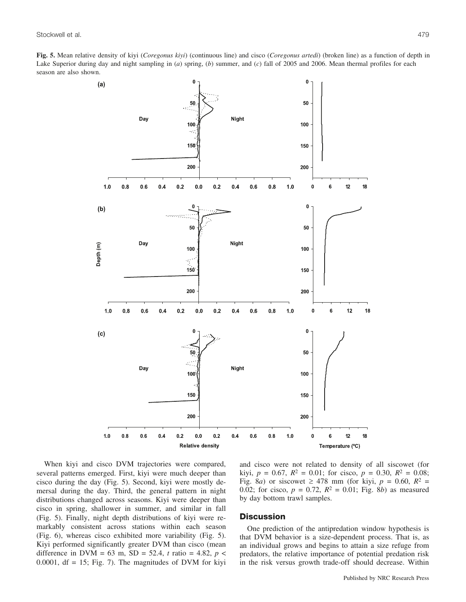**Fig. 5.** Mean relative density of kiyi (*Coregonus kiyi*) (continuous line) and cisco (*Coregonus artedi*) (broken line) as a function of depth in Lake Superior during day and night sampling in (*a*) spring, (*b*) summer, and (*c*) fall of 2005 and 2006. Mean thermal profiles for each season are also shown.



When kiyi and cisco DVM trajectories were compared, several patterns emerged. First, kiyi were much deeper than cisco during the day (Fig. 5). Second, kiyi were mostly demersal during the day. Third, the general pattern in night distributions changed across seasons. Kiyi were deeper than cisco in spring, shallower in summer, and similar in fall (Fig. 5). Finally, night depth distributions of kiyi were remarkably consistent across stations within each season (Fig. 6), whereas cisco exhibited more variability (Fig. 5). Kiyi performed significantly greater DVM than cisco (mean difference in DVM =  $63$  m, SD =  $52.4$ , *t* ratio =  $4.82$ , *p* < 0.0001,  $df = 15$ ; Fig. 7). The magnitudes of DVM for kiyi

and cisco were not related to density of all siscowet (for kiyi,  $p = 0.67$ ,  $R^2 = 0.01$ ; for cisco,  $p = 0.30$ ,  $R^2 = 0.08$ ; Fig. 8*a*) or siscowet  $\geq$  478 mm (for kiyi,  $p = 0.60$ ,  $R^2 =$ 0.02; for cisco,  $p = 0.72$ ,  $R^2 = 0.01$ ; Fig. 8*b*) as measured by day bottom trawl samples.

# **Discussion**

One prediction of the antipredation window hypothesis is that DVM behavior is a size-dependent process. That is, as an individual grows and begins to attain a size refuge from predators, the relative importance of potential predation risk in the risk versus growth trade-off should decrease. Within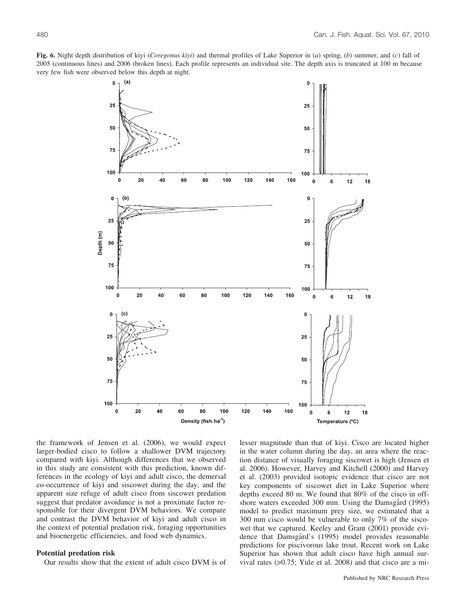

the framework of Jensen et al. (2006), we would expect larger-bodied cisco to follow a shallower DVM trajectory compared with kiyi. Although differences that we observed in this study are consistent with this prediction, known differences in the ecology of kiyi and adult cisco, the demersal co-occurrence of kiyi and siscowet during the day, and the apparent size refuge of adult cisco from siscowet predation suggest that predator avoidance is not a proximate factor responsible for their divergent DVM behaviors. We compare and contrast the DVM behavior of kiyi and adult cisco in the context of potential predation risk, foraging opportunities and bioenergetic efficiencies, and food web dynamics.

# **Potential predation risk**

Our results show that the extent of adult cisco DVM is of

lesser magnitude than that of kiyi. Cisco are located higher in the water column during the day, an area where the reaction distance of visually foraging siscowet is high (Jensen et al. 2006). However, Harvey and Kitchell (2000) and Harvey et al. (2003) provided isotopic evidence that cisco are not key components of siscowet diet in Lake Superior where depths exceed 80 m. We found that 80% of the cisco in offshore waters exceeded 300 mm. Using the Damsgård (1995) model to predict maximum prey size, we estimated that a 300 mm cisco would be vulnerable to only 7% of the siscowet that we captured. Keeley and Grant (2001) provide evidence that Damsgård's (1995) model provides reasonable predictions for piscivorous lake trout. Recent work on Lake Superior has shown that adult cisco have high annual survival rates (>0.75; Yule et al. 2008) and that cisco are a mi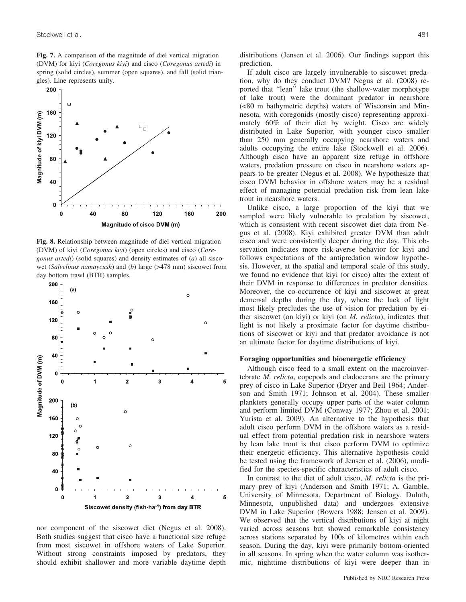**Fig. 7.** A comparison of the magnitude of diel vertical migration (DVM) for kiyi (*Coregonus kiyi*) and cisco (*Coregonus artedi*) in spring (solid circles), summer (open squares), and fall (solid triangles). Line represents unity.



**Fig. 8.** Relationship between magnitude of diel vertical migration (DVM) of kiyi (*Coregonus kiyi*) (open circles) and cisco (*Coregonus artedi*) (solid squares) and density estimates of (*a*) all siscowet (*Salvelinus namaycush*) and (*b*) large (>478 mm) siscowet from day bottom trawl (BTR) samples.



nor component of the siscowet diet (Negus et al. 2008). Both studies suggest that cisco have a functional size refuge from most siscowet in offshore waters of Lake Superior. Without strong constraints imposed by predators, they should exhibit shallower and more variable daytime depth

distributions (Jensen et al. 2006). Our findings support this prediction.

If adult cisco are largely invulnerable to siscowet predation, why do they conduct DVM? Negus et al. (2008) reported that ''lean'' lake trout (the shallow-water morphotype of lake trout) were the dominant predator in nearshore (<80 m bathymetric depths) waters of Wisconsin and Minnesota, with coregonids (mostly cisco) representing approximately 60% of their diet by weight. Cisco are widely distributed in Lake Superior, with younger cisco smaller than 250 mm generally occupying nearshore waters and adults occupying the entire lake (Stockwell et al. 2006). Although cisco have an apparent size refuge in offshore waters, predation pressure on cisco in nearshore waters appears to be greater (Negus et al. 2008). We hypothesize that cisco DVM behavior in offshore waters may be a residual effect of managing potential predation risk from lean lake trout in nearshore waters.

Unlike cisco, a large proportion of the kiyi that we sampled were likely vulnerable to predation by siscowet, which is consistent with recent siscowet diet data from Negus et al. (2008). Kiyi exhibited greater DVM than adult cisco and were consistently deeper during the day. This observation indicates more risk-averse behavior for kiyi and follows expectations of the antipredation window hypothesis. However, at the spatial and temporal scale of this study, we found no evidence that kiyi (or cisco) alter the extent of their DVM in response to differences in predator densities. Moreover, the co-occurrence of kiyi and siscowet at great demersal depths during the day, where the lack of light most likely precludes the use of vision for predation by either siscowet (on kiyi) or kiyi (on *M. relicta*), indicates that light is not likely a proximate factor for daytime distributions of siscowet or kiyi and that predator avoidance is not an ultimate factor for daytime distributions of kiyi.

## **Foraging opportunities and bioenergetic efficiency**

Although cisco feed to a small extent on the macroinvertebrate *M. relicta*, copepods and cladocerans are the primary prey of cisco in Lake Superior (Dryer and Beil 1964; Anderson and Smith 1971; Johnson et al. 2004). These smaller plankters generally occupy upper parts of the water column and perform limited DVM (Conway 1977; Zhou et al. 2001; Yurista et al. 2009). An alternative to the hypothesis that adult cisco perform DVM in the offshore waters as a residual effect from potential predation risk in nearshore waters by lean lake trout is that cisco perform DVM to optimize their energetic efficiency. This alternative hypothesis could be tested using the framework of Jensen et al. (2006), modified for the species-specific characteristics of adult cisco.

In contrast to the diet of adult cisco, *M. relicta* is the primary prey of kiyi (Anderson and Smith 1971; A. Gamble, University of Minnesota, Department of Biology, Duluth, Minnesota, unpublished data) and undergoes extensive DVM in Lake Superior (Bowers 1988; Jensen et al. 2009). We observed that the vertical distributions of kiyi at night varied across seasons but showed remarkable consistency across stations separated by 100s of kilometres within each season. During the day, kiyi were primarily bottom-oriented in all seasons. In spring when the water column was isothermic, nighttime distributions of kiyi were deeper than in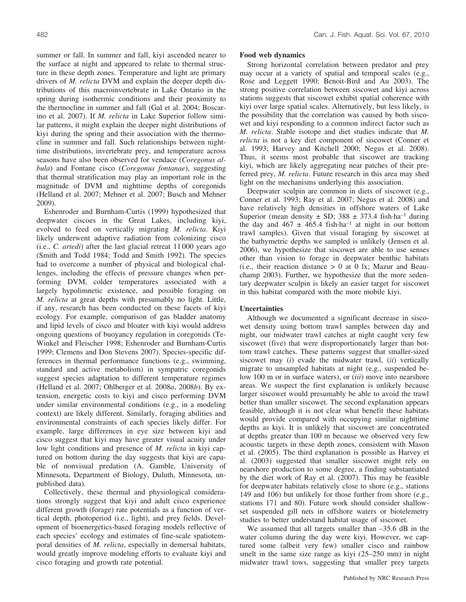summer or fall. In summer and fall, kiyi ascended nearer to the surface at night and appeared to relate to thermal structure in these depth zones. Temperature and light are primary drivers of *M. relicta* DVM and explain the deeper depth distributions of this macroinvertebrate in Lake Ontario in the spring during isothermic conditions and their proximity to the thermocline in summer and fall (Gal et al. 2004; Boscarino et al. 2007). If *M. relicta* in Lake Superior follow similar patterns, it might explain the deeper night distributions of kiyi during the spring and their association with the thermocline in summer and fall. Such relationships between nighttime distributions, invertebrate prey, and temperature across seasons have also been observed for vendace (*Coregonus albula*) and Fontane cisco (*Coregonus fontanae*), suggesting that thermal stratification may play an important role in the magnitude of DVM and nighttime depths of coregonids (Helland et al. 2007; Mehner et al. 2007; Busch and Mehner 2009).

Eshenroder and Burnham-Curtis (1999) hypothesized that deepwater ciscoes in the Great Lakes, including kiyi, evolved to feed on vertically migrating *M. relicta*. Kiyi likely underwent adaptive radiation from colonizing cisco (i.e., *C. artedi*) after the last glacial retreat 11 000 years ago (Smith and Todd 1984; Todd and Smith 1992). The species had to overcome a number of physical and biological challenges, including the effects of pressure changes when performing DVM, colder temperatures associated with a largely hypolimnetic existence, and possible foraging on *M. relicta* at great depths with presumably no light. Little, if any, research has been conducted on these facets of kiyi ecology. For example, comparison of gas bladder anatomy and lipid levels of cisco and bloater with kiyi would address ongoing questions of buoyancy regulation in coregonids (Te-Winkel and Fleischer 1998; Eshenroder and Burnham-Curtis 1999; Clemens and Don Stevens 2007). Species-specific differences in thermal performance functions (e.g., swimming, standard and active metabolism) in sympatric coregonids suggest species adaptation to different temperature regimes (Helland et al. 2007; Ohlberger et al. 2008*a*, 2008*b*). By extension, energetic costs to kiyi and cisco performing DVM under similar environmental conditions (e.g., in a modeling context) are likely different. Similarly, foraging abilities and environmental constraints of each species likely differ. For example, large differences in eye size between kiyi and cisco suggest that kiyi may have greater visual acuity under low light conditions and presence of *M. relicta* in kiyi captured on bottom during the day suggests that kiyi are capable of nonvisual predation (A. Gamble, University of Minnesota, Department of Biology, Duluth, Minnesota, unpublished data).

Collectively, these thermal and physiological considerations strongly suggest that kiyi and adult cisco experience different growth (forage) rate potentials as a function of vertical depth, photoperiod (i.e., light), and prey fields. Development of bioenergetics-based foraging models reflective of each species' ecology and estimates of fine-scale spatiotemporal densities of *M. relicta*, especially in demersal habitats, would greatly improve modeling efforts to evaluate kiyi and cisco foraging and growth rate potential.

## **Food web dynamics**

Strong horizontal correlation between predator and prey may occur at a variety of spatial and temporal scales (e.g., Rose and Leggett 1990; Benoit-Bird and Au 2003). The strong positive correlation between siscowet and kiyi across stations suggests that siscowet exhibit spatial coherence with kiyi over large spatial scales. Alternatively, but less likely, is the possibility that the correlation was caused by both siscowet and kiyi responding to a common indirect factor such as *M. relicta*. Stable isotope and diet studies indicate that *M. relicta* is not a key diet component of siscowet (Conner et al. 1993; Harvey and Kitchell 2000; Negus et al. 2008). Thus, it seems most probable that siscowet are tracking kiyi, which are likely aggregating near patches of their preferred prey, *M. relicta*. Future research in this area may shed light on the mechanisms underlying this association.

Deepwater sculpin are common in diets of siscowet (e.g., Conner et al. 1993; Ray et al. 2007; Negus et al. 2008) and have relatively high densities in offshore waters of Lake Superior (mean density  $\pm$  SD; 388  $\pm$  373.4 fish-ha<sup>-1</sup> during the day and  $467 \pm 465.4$  fish-ha<sup>-1</sup> at night in our bottom trawl samples). Given that visual foraging by siscowet at the bathymetric depths we sampled is unlikely (Jensen et al. 2006), we hypothesize that siscowet are able to use senses other than vision to forage in deepwater benthic habitats (i.e., their reaction distance  $> 0$  at 0 lx; Mazur and Beauchamp 2003). Further, we hypothesize that the more sedentary deepwater sculpin is likely an easier target for siscowet in this habitat compared with the more mobile kiyi.

# **Uncertainties**

Although we documented a significant decrease in siscowet density using bottom trawl samples between day and night, our midwater trawl catches at night caught very few siscowet (five) that were disproportionately larger than bottom trawl catches. These patterns suggest that smaller-sized siscowet may (*i*) evade the midwater trawl, (*ii*) vertically migrate to unsampled habitats at night (e.g., suspended below 100 m or in surface waters), or (*iii*) move into nearshore areas. We suspect the first explanation is unlikely because larger siscowet would presumably be able to avoid the trawl better than smaller siscowet. The second explanation appears feasible, although it is not clear what benefit these habitats would provide compared with occupying similar nighttime depths as kiyi. It is unlikely that siscowet are concentrated at depths greater than 100 m because we observed very few acoustic targets in these depth zones, consistent with Mason et al. (2005). The third explanation is possible as Harvey et al. (2003) suggested that smaller siscowet might rely on nearshore production to some degree, a finding substantiated by the diet work of Ray et al. (2007). This may be feasible for deepwater habitats relatively close to shore (e.g., stations 149 and 106) but unlikely for those further from shore (e.g., stations 171 and 80). Future work should consider shallowset suspended gill nets in offshore waters or biotelemetry studies to better understand habitat usage of siscowet.

We assumed that all targets smaller than  $-35.6$  dB in the water column during the day were kiyi. However, we captured some (albeit very few) smaller cisco and rainbow smelt in the same size range as kiyi (25–250 mm) in night midwater trawl tows, suggesting that smaller prey targets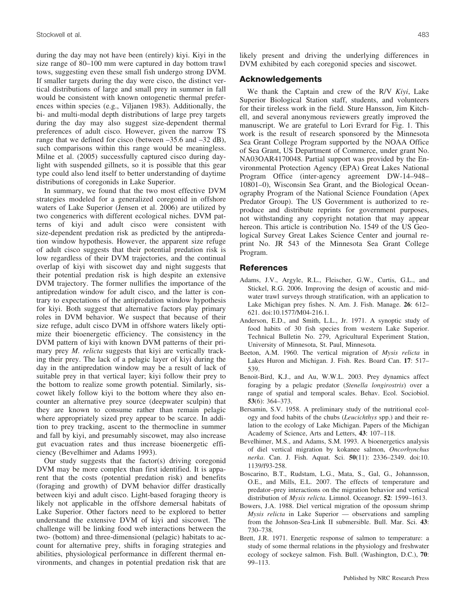during the day may not have been (entirely) kiyi. Kiyi in the size range of 80–100 mm were captured in day bottom trawl tows, suggesting even these small fish undergo strong DVM. If smaller targets during the day were cisco, the distinct vertical distributions of large and small prey in summer in fall would be consistent with known ontogenetic thermal preferences within species (e.g., Viljanen 1983). Additionally, the bi- and multi-modal depth distributions of large prey targets during the day may also suggest size-dependent thermal preferences of adult cisco. However, given the narrow TS range that we defined for cisco (between –35.6 and –32 dB), such comparisons within this range would be meaningless. Milne et al. (2005) successfully captured cisco during daylight with suspended gillnets, so it is possible that this gear type could also lend itself to better understanding of daytime distributions of coregonids in Lake Superior.

In summary, we found that the two most effective DVM strategies modeled for a generalized coregonid in offshore waters of Lake Superior (Jensen et al. 2006) are utilized by two congenerics with different ecological niches. DVM patterns of kiyi and adult cisco were consistent with size-dependent predation risk as predicted by the antipredation window hypothesis. However, the apparent size refuge of adult cisco suggests that their potential predation risk is low regardless of their DVM trajectories, and the continual overlap of kiyi with siscowet day and night suggests that their potential predation risk is high despite an extensive DVM trajectory. The former nullifies the importance of the antipredation window for adult cisco, and the latter is contrary to expectations of the antipredation window hypothesis for kiyi. Both suggest that alternative factors play primary roles in DVM behavior. We suspect that because of their size refuge, adult cisco DVM in offshore waters likely optimize their bioenergetic efficiency. The consistency in the DVM pattern of kiyi with known DVM patterns of their primary prey *M. relicta* suggests that kiyi are vertically tracking their prey. The lack of a pelagic layer of kiyi during the day in the antipredation window may be a result of lack of suitable prey in that vertical layer; kiyi follow their prey to the bottom to realize some growth potential. Similarly, siscowet likely follow kiyi to the bottom where they also encounter an alternative prey source (deepwater sculpin) that they are known to consume rather than remain pelagic where appropriately sized prey appear to be scarce. In addition to prey tracking, ascent to the thermocline in summer and fall by kiyi, and presumably siscowet, may also increase gut evacuation rates and thus increase bioenergetic efficiency (Bevelhimer and Adams 1993).

Our study suggests that the factor(s) driving coregonid DVM may be more complex than first identified. It is apparent that the costs (potential predation risk) and benefits (foraging and growth) of DVM behavior differ drastically between kiyi and adult cisco. Light-based foraging theory is likely not applicable in the offshore demersal habitats of Lake Superior. Other factors need to be explored to better understand the extensive DVM of kiyi and siscowet. The challenge will be linking food web interactions between the two- (bottom) and three-dimensional (pelagic) habitats to account for alternative prey, shifts in foraging strategies and abilities, physiological performance in different thermal environments, and changes in potential predation risk that are likely present and driving the underlying differences in DVM exhibited by each coregonid species and siscowet.

# **Acknowledgements**

We thank the Captain and crew of the R/V *Kiyi*, Lake Superior Biological Station staff, students, and volunteers for their tireless work in the field. Sture Hansson, Jim Kitchell, and several anonymous reviewers greatly improved the manuscript. We are grateful to Lori Evrard for Fig. 1. This work is the result of research sponsored by the Minnesota Sea Grant College Program supported by the NOAA Office of Sea Grant, US Department of Commerce, under grant No. NA03OAR4170048. Partial support was provided by the Environmental Protection Agency (EPA) Great Lakes National Program Office (inter-agency agreement DW-14–948– 10801–0), Wisconsin Sea Grant, and the Biological Oceanography Program of the National Science Foundation (Apex Predator Group). The US Government is authorized to reproduce and distribute reprints for government purposes, not withstanding any copyright notation that may appear hereon. This article is contribution No. 1549 of the US Geological Survey Great Lakes Science Center and journal reprint No. JR 543 of the Minnesota Sea Grant College Program.

# **References**

- Adams, J.V., Argyle, R.L., Fleischer, G.W., Curtis, G.L., and Stickel, R.G. 2006. Improving the design of acoustic and midwater trawl surveys through stratification, with an application to Lake Michigan prey fishes. N. Am. J. Fish. Manage. **26**: 612– 621. doi:10.1577/M04-216.1.
- Anderson, E.D., and Smith, L.L., Jr. 1971. A synoptic study of food habits of 30 fish species from western Lake Superior. Technical Bulletin No. 279, Agricultural Experiment Station, University of Minnesota, St. Paul, Minnesota.
- Beeton, A.M. 1960. The vertical migration of *Mysis relicta* in Lakes Huron and Michigan. J. Fish. Res. Board Can. **17**: 517– 539.
- Benoit-Bird, K.J., and Au, W.W.L. 2003. Prey dynamics affect foraging by a pelagic predator (*Stenella longirostris*) over a range of spatial and temporal scales. Behav. Ecol. Sociobiol. **53**(6): 364–373.
- Bersamin, S.V. 1958. A preliminary study of the nutritional ecology and food habits of the chubs (*Leucichthys* spp.) and their relation to the ecology of Lake Michigan. Papers of the Michigan Academy of Science, Arts and Letters, **43**: 107–118.
- Bevelhimer, M.S., and Adams, S.M. 1993. A bioenergetics analysis of diel vertical migration by kokanee salmon, *Oncorhynchus nerka*. Can. J. Fish. Aquat. Sci. **50**(11): 2336–2349. doi:10. 1139/f93-258.
- Boscarino, B.T., Rudstam, L.G., Mata, S., Gal, G., Johannsson, O.E., and Mills, E.L. 2007. The effects of temperature and predator–prey interactions on the migration behavior and vertical distribution of *Mysis relicta.* Limnol. Oceanogr. **52**: 1599–1613.
- Bowers, J.A. 1988. Diel vertical migration of the opossum shrimp *Mysis relicta* in Lake Superior — observations and sampling from the Johnson-Sea-Link II submersible. Bull. Mar. Sci. **43**: 730–738.
- Brett, J.R. 1971. Energetic response of salmon to temperature: a study of some thermal relations in the physiology and freshwater ecology of sockeye salmon. Fish. Bull. (Washington, D.C.), **70**: 99–113.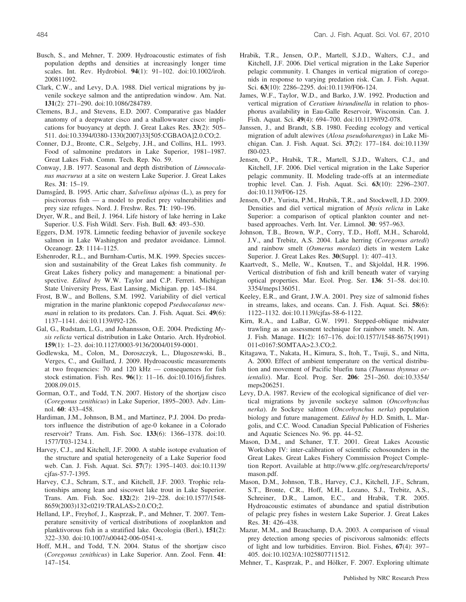- Busch, S., and Mehner, T. 2009. Hydroacoustic estimates of fish population depths and densities at increasingly longer time scales. Int. Rev. Hydrobiol. **94**(1): 91–102. doi:10.1002/iroh. 200811092.
- Clark, C.W., and Levy, D.A. 1988. Diel vertical migrations by juvenile sockeye salmon and the antipredation window. Am. Nat. **131**(2): 271–290. doi:10.1086/284789.
- Clemens, B.J., and Stevens, E.D. 2007. Comparative gas bladder anatomy of a deepwater cisco and a shallowwater cisco: implications for buoyancy at depth. J. Great Lakes Res. **33**(2): 505– 511. doi:10.3394/0380-1330(2007)33[505:CGBAOA]2.0.CO;2.
- Conner, D.J., Bronte, C.R., Selgeby, J.H., and Collins, H.L. 1993. Food of salmonine predators in Lake Superior, 1981–1987. Great Lakes Fish. Comm. Tech. Rep. No. 59.
- Conway, J.B. 1977. Seasonal and depth distribution of *Limnocalanus macrurus* at a site on western Lake Superior. J. Great Lakes Res. **31**: 15–19.
- Damsgård, B. 1995. Artic charr, *Salvelinus alpinus* (L.), as prey for piscivorous fish — a model to predict prey vulnerabilities and prey size refuges. Nord. J. Freshw. Res. **71**: 190–196.
- Dryer, W.R., and Beil, J. 1964. Life history of lake herring in Lake Superior. U.S. Fish Wildl. Serv. Fish. Bull. **63**: 493–530.
- Eggers, D.M. 1978. Limnetic feeding behavior of juvenile sockeye salmon in Lake Washington and predator avoidance. Limnol. Oceanogr. **23**: 1114–1125.
- Eshenroder, R.L., and Burnham-Curtis, M.K. 1999. Species succession and sustainability of the Great Lakes fish community. *In* Great Lakes fishery policy and management: a binational perspective. *Edited by* W.W. Taylor and C.P. Ferreri. Michigan State University Press, East Lansing, Michigan. pp. 145–184.
- Frost, B.W., and Bollens, S.M. 1992. Variability of diel vertical migration in the marine planktonic copepod *Pseduocalanus newmani* in relation to its predators. Can. J. Fish. Aquat. Sci. **49**(6): 1137–1141. doi:10.1139/f92-126.
- Gal, G., Rudstam, L.G., and Johannsson, O.E. 2004. Predicting *Mysis relicta* vertical distribution in Lake Ontario. Arch. Hydrobiol. **159**(1): 1–23. doi:10.1127/0003-9136/2004/0159-0001.
- Godlewska, M., Colon, M., Doroszczyk, L., Dlugoszewski, B., Verges, C., and Guillard, J. 2009. Hydroacoustic measurements at two frequencies: 70 and 120 kHz — consequences for fish stock estimation. Fish. Res. **96**(1): 11–16. doi:10.1016/j.fishres. 2008.09.015.
- Gorman, O.T., and Todd, T.N. 2007. History of the shortjaw cisco (*Coregonus zenithicus*) in Lake Superior, 1895–2003. Adv. Limnol. **60**: 433–458.
- Hardiman, J.M., Johnson, B.M., and Martinez, P.J. 2004. Do predators influence the distribution of age-0 kokanee in a Colorado reservoir? Trans. Am. Fish. Soc. **133**(6): 1366–1378. doi:10. 1577/T03-1234.1.
- Harvey, C.J., and Kitchell, J.F. 2000. A stable isotope evaluation of the structure and spatial heterogeneity of a Lake Superior food web. Can. J. Fish. Aquat. Sci. **57**(7): 1395–1403. doi:10.1139/ cjfas-57-7-1395.
- Harvey, C.J., Schram, S.T., and Kitchell, J.F. 2003. Trophic relationships among lean and siscowet lake trout in Lake Superior. Trans. Am. Fish. Soc. **132**(2): 219–228. doi:10.1577/1548- 8659(2003)132<0219:TRALAS>2.0.CO;2.
- Helland, I.P., Freyhof, J., Kasprzak, P., and Mehner, T. 2007. Temperature sensitivity of vertical distributions of zooplankton and planktivorous fish in a stratified lake. Oecologia (Berl.), **151**(2): 322–330. doi:10.1007/s00442-006-0541-x.
- Hoff, M.H., and Todd, T.N. 2004. Status of the shortjaw cisco (*Coregonus zenithicus*) in Lake Superior. Ann. Zool. Fenn. **41**: 147–154.
- Hrabik, T.R., Jensen, O.P., Martell, S.J.D., Walters, C.J., and Kitchell, J.F. 2006. Diel vertical migration in the Lake Superior pelagic community. I. Changes in vertical migration of coregonids in response to varying predation risk. Can. J. Fish. Aquat. Sci. **63**(10): 2286–2295. doi:10.1139/F06-124.
- James, W.F., Taylor, W.D., and Barko, J.W. 1992. Production and vertical migration of *Ceratium hirundinella* in relation to phosphorus availability in Eau-Galle Reservoir, Wisconsin. Can. J. Fish. Aquat. Sci. **49**(4): 694–700. doi:10.1139/f92-078.
- Janssen, J., and Brandt, S.B. 1980. Feeding ecology and vertical migration of adult alewives (*Alosa pseudoharengus*) in Lake Michigan. Can. J. Fish. Aquat. Sci. **37**(2): 177–184. doi:10.1139/ f80-023.
- Jensen, O.P., Hrabik, T.R., Martell, S.J.D., Walters, C.J., and Kitchell, J.F. 2006. Diel vertical migration in the Lake Superior pelagic community. II. Modeling trade-offs at an intermediate trophic level. Can. J. Fish. Aquat. Sci. **63**(10): 2296–2307. doi:10.1139/F06-125.
- Jensen, O.P., Yurista, P.M., Hrabik, T.R., and Stockwell, J.D. 2009. Densities and diel vertical migration of *Mysis relicta* in Lake Superior: a comparison of optical plankton counter and netbased approaches. Verh. Int. Ver. Limnol. **30**: 957–963.
- Johnson, T.B., Brown, W.P., Corry, T.D., Hoff, M.H., Scharold, J.V., and Trebitz, A.S. 2004. Lake herring (*Coregonus artedi*) and rainbow smelt (*Osmerus mordax*) diets in western Lake Superior. J. Great Lakes Res. **30**(Suppl. 1): 407–413.
- Kaartvedt, S., Melle, W., Knutsen, T., and Skjoldal, H.R. 1996. Vertical distribution of fish and krill beneath water of varying optical properties. Mar. Ecol. Prog. Ser. **136**: 51–58. doi:10. 3354/meps136051.
- Keeley, E.R., and Grant, J.W.A. 2001. Prey size of salmonid fishes in streams, lakes, and oceans. Can. J. Fish. Aquat. Sci. **58**(6): 1122–1132. doi:10.1139/cjfas-58-6-1122.
- Kirn, R.A., and LaBar, G.W. 1991. Stepped-oblique midwater trawling as an assessment technique for rainbow smelt. N. Am. J. Fish. Manage. **11**(2): 167–176. doi:10.1577/1548-8675(1991) 011<0167:SOMTAA>2.3.CO;2.
- Kitagawa, T., Nakata, H., Kimura, S., Itoh, T., Tsuji, S., and Nitta, A. 2000. Effect of ambient temperature on the vertical distribution and movement of Pacific bluefin tuna (*Thunnus thynnus orientalis*). Mar. Ecol. Prog. Ser. **206**: 251–260. doi:10.3354/ meps206251.
- Levy, D.A. 1987. Review of the ecological significance of diel vertical migrations by juvenile sockeye salmon (*Oncorhynchus nerka*). *In* Sockeye salmon (*Oncorhynchus nerka*) population biology and future management. *Edited by* H.D. Smith, L. Margolis, and C.C. Wood. Canadian Special Publication of Fisheries and Aquatic Sciences No. 96. pp. 44–52.
- Mason, D.M., and Schaner, T.T. 2001. Great Lakes Acoustic Workshop IV: inter-calibration of scientific echosounders in the Great Lakes. Great Lakes Fishery Commission Project Completion Report. Available at http://www.glfc.org/research/reports/ mason.pdf.
- Mason, D.M., Johnson, T.B., Harvey, C.J., Kitchell, J.F., Schram, S.T., Bronte, C.R., Hoff, M.H., Lozano, S.J., Trebitz, A.S., Schreiner, D.R., Lamon, E.C., and Hrabik, T.R. 2005. Hydroacoustic estimates of abundance and spatial distribution of pelagic prey fishes in western Lake Superior. J. Great Lakes Res. **31**: 426–438.
- Mazur, M.M., and Beauchamp, D.A. 2003. A comparison of visual prey detection among species of piscivorous salmonids: effects of light and low turbidities. Environ. Biol. Fishes, **67**(4): 397– 405. doi:10.1023/A:1025807711512.
- Mehner, T., Kasprzak, P., and Hölker, F. 2007. Exploring ultimate